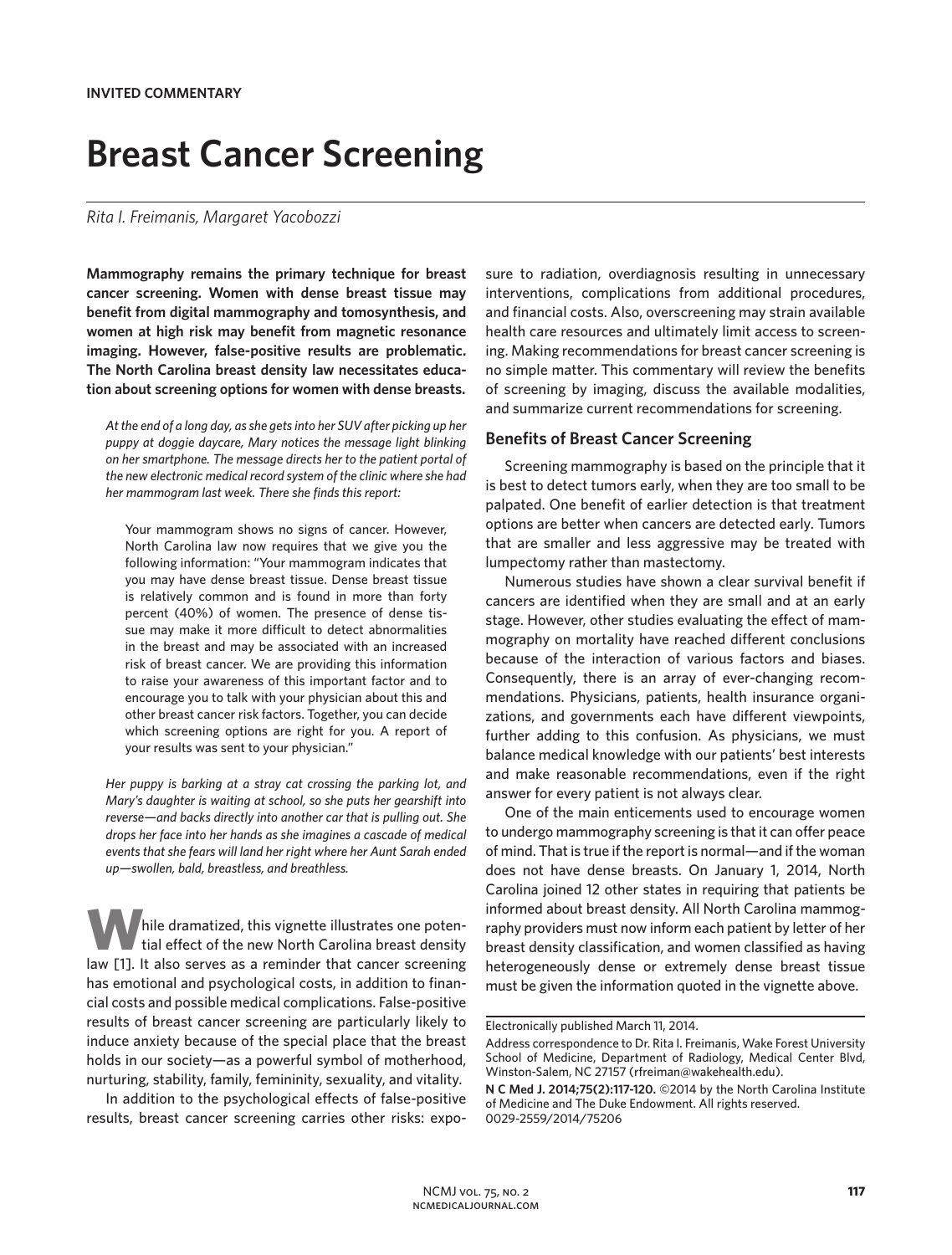# **Breast Cancer Screening**

### *Rita I. Freimanis, Margaret Yacobozzi*

**Mammography remains the primary technique for breast cancer screening. Women with dense breast tissue may benefit from digital mammography and tomosynthesis, and women at high risk may benefit from magnetic resonance imaging. However, false-positive results are problematic. The North Carolina breast density law necessitates education about screening options for women with dense breasts.**

*At the end of a long day, as she gets into her SUV after picking up her puppy at doggie daycare, Mary notices the message light blinking on her smartphone. The message directs her to the patient portal of the new electronic medical record system of the clinic where she had her mammogram last week. There she finds this report:*

Your mammogram shows no signs of cancer. However, North Carolina law now requires that we give you the following information: "Your mammogram indicates that you may have dense breast tissue. Dense breast tissue is relatively common and is found in more than forty percent (40%) of women. The presence of dense tissue may make it more difficult to detect abnormalities in the breast and may be associated with an increased risk of breast cancer. We are providing this information to raise your awareness of this important factor and to encourage you to talk with your physician about this and other breast cancer risk factors. Together, you can decide which screening options are right for you. A report of your results was sent to your physician."

*Her puppy is barking at a stray cat crossing the parking lot, and Mary's daughter is waiting at school, so she puts her gearshift into reverse—and backs directly into another car that is pulling out. She drops her face into her hands as she imagines a cascade of medical events that she fears will land her right where her Aunt Sarah ended up—swollen, bald, breastless, and breathless.*

hile dramatized, this vignette illustrates one potential effect of the new North Carolina breast density law [1]. It also serves as a reminder that cancer screening has emotional and psychological costs, in addition to financial costs and possible medical complications. False-positive results of breast cancer screening are particularly likely to induce anxiety because of the special place that the breast holds in our society—as a powerful symbol of motherhood, nurturing, stability, family, femininity, sexuality, and vitality.

In addition to the psychological effects of false-positive results, breast cancer screening carries other risks: exposure to radiation, overdiagnosis resulting in unnecessary interventions, complications from additional procedures, and financial costs. Also, overscreening may strain available health care resources and ultimately limit access to screening. Making recommendations for breast cancer screening is no simple matter. This commentary will review the benefits of screening by imaging, discuss the available modalities, and summarize current recommendations for screening.

#### **Benefits of Breast Cancer Screening**

Screening mammography is based on the principle that it is best to detect tumors early, when they are too small to be palpated. One benefit of earlier detection is that treatment options are better when cancers are detected early. Tumors that are smaller and less aggressive may be treated with lumpectomy rather than mastectomy.

Numerous studies have shown a clear survival benefit if cancers are identified when they are small and at an early stage. However, other studies evaluating the effect of mammography on mortality have reached different conclusions because of the interaction of various factors and biases. Consequently, there is an array of ever-changing recommendations. Physicians, patients, health insurance organizations, and governments each have different viewpoints, further adding to this confusion. As physicians, we must balance medical knowledge with our patients' best interests and make reasonable recommendations, even if the right answer for every patient is not always clear.

One of the main enticements used to encourage women to undergo mammography screening is that it can offer peace of mind. That is true if the report is normal—and if the woman does not have dense breasts. On January 1, 2014, North Carolina joined 12 other states in requiring that patients be informed about breast density. All North Carolina mammography providers must now inform each patient by letter of her breast density classification, and women classified as having heterogeneously dense or extremely dense breast tissue must be given the information quoted in the vignette above.

Electronically published March 11, 2014.

Address correspondence to Dr. Rita I. Freimanis, Wake Forest University School of Medicine, Department of Radiology, Medical Center Blvd, Winston-Salem, NC 27157 (rfreiman@wakehealth.edu).

**N C Med J. 2014;75(2):117-120.** ©2014 by the North Carolina Institute of Medicine and The Duke Endowment. All rights reserved. 0029-2559/2014/75206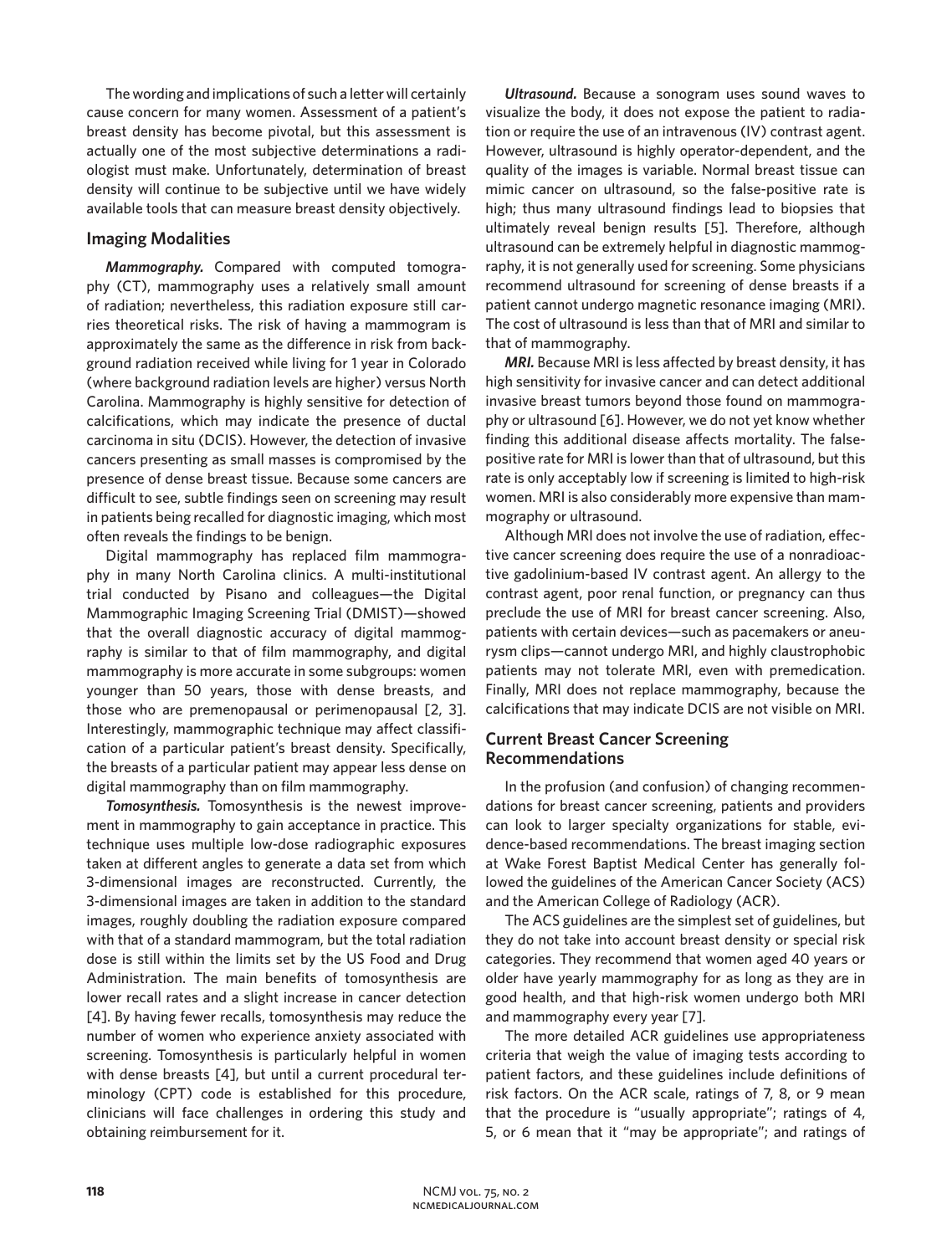The wording and implications of such a letter will certainly cause concern for many women. Assessment of a patient's breast density has become pivotal, but this assessment is actually one of the most subjective determinations a radiologist must make. Unfortunately, determination of breast density will continue to be subjective until we have widely available tools that can measure breast density objectively.

## **Imaging Modalities**

*Mammography.* Compared with computed tomography (CT), mammography uses a relatively small amount of radiation; nevertheless, this radiation exposure still carries theoretical risks. The risk of having a mammogram is approximately the same as the difference in risk from background radiation received while living for 1 year in Colorado (where background radiation levels are higher) versus North Carolina. Mammography is highly sensitive for detection of calcifications, which may indicate the presence of ductal carcinoma in situ (DCIS). However, the detection of invasive cancers presenting as small masses is compromised by the presence of dense breast tissue. Because some cancers are difficult to see, subtle findings seen on screening may result in patients being recalled for diagnostic imaging, which most often reveals the findings to be benign.

Digital mammography has replaced film mammography in many North Carolina clinics. A multi-institutional trial conducted by Pisano and colleagues—the Digital Mammographic Imaging Screening Trial (DMIST)—showed that the overall diagnostic accuracy of digital mammography is similar to that of film mammography, and digital mammography is more accurate in some subgroups: women younger than 50 years, those with dense breasts, and those who are premenopausal or perimenopausal [2, 3]. Interestingly, mammographic technique may affect classification of a particular patient's breast density. Specifically, the breasts of a particular patient may appear less dense on digital mammography than on film mammography.

*Tomosynthesis.* Tomosynthesis is the newest improvement in mammography to gain acceptance in practice. This technique uses multiple low-dose radiographic exposures taken at different angles to generate a data set from which 3-dimensional images are reconstructed. Currently, the 3-dimensional images are taken in addition to the standard images, roughly doubling the radiation exposure compared with that of a standard mammogram, but the total radiation dose is still within the limits set by the US Food and Drug Administration. The main benefits of tomosynthesis are lower recall rates and a slight increase in cancer detection [4]. By having fewer recalls, tomosynthesis may reduce the number of women who experience anxiety associated with screening. Tomosynthesis is particularly helpful in women with dense breasts [4], but until a current procedural terminology (CPT) code is established for this procedure, clinicians will face challenges in ordering this study and obtaining reimbursement for it.

*Ultrasound.* Because a sonogram uses sound waves to visualize the body, it does not expose the patient to radiation or require the use of an intravenous (IV) contrast agent. However, ultrasound is highly operator-dependent, and the quality of the images is variable. Normal breast tissue can mimic cancer on ultrasound, so the false-positive rate is high; thus many ultrasound findings lead to biopsies that ultimately reveal benign results [5]. Therefore, although ultrasound can be extremely helpful in diagnostic mammography, it is not generally used for screening. Some physicians recommend ultrasound for screening of dense breasts if a patient cannot undergo magnetic resonance imaging (MRI). The cost of ultrasound is less than that of MRI and similar to that of mammography.

*MRI.* Because MRI is less affected by breast density, it has high sensitivity for invasive cancer and can detect additional invasive breast tumors beyond those found on mammography or ultrasound [6]. However, we do not yet know whether finding this additional disease affects mortality. The falsepositive rate for MRI is lower than that of ultrasound, but this rate is only acceptably low if screening is limited to high-risk women. MRI is also considerably more expensive than mammography or ultrasound.

Although MRI does not involve the use of radiation, effective cancer screening does require the use of a nonradioactive gadolinium-based IV contrast agent. An allergy to the contrast agent, poor renal function, or pregnancy can thus preclude the use of MRI for breast cancer screening. Also, patients with certain devices—such as pacemakers or aneurysm clips—cannot undergo MRI, and highly claustrophobic patients may not tolerate MRI, even with premedication. Finally, MRI does not replace mammography, because the calcifications that may indicate DCIS are not visible on MRI.

# **Current Breast Cancer Screening Recommendations**

In the profusion (and confusion) of changing recommendations for breast cancer screening, patients and providers can look to larger specialty organizations for stable, evidence-based recommendations. The breast imaging section at Wake Forest Baptist Medical Center has generally followed the guidelines of the American Cancer Society (ACS) and the American College of Radiology (ACR).

The ACS guidelines are the simplest set of guidelines, but they do not take into account breast density or special risk categories. They recommend that women aged 40 years or older have yearly mammography for as long as they are in good health, and that high-risk women undergo both MRI and mammography every year [7].

The more detailed ACR guidelines use appropriateness criteria that weigh the value of imaging tests according to patient factors, and these guidelines include definitions of risk factors. On the ACR scale, ratings of 7, 8, or 9 mean that the procedure is "usually appropriate"; ratings of 4, 5, or 6 mean that it "may be appropriate"; and ratings of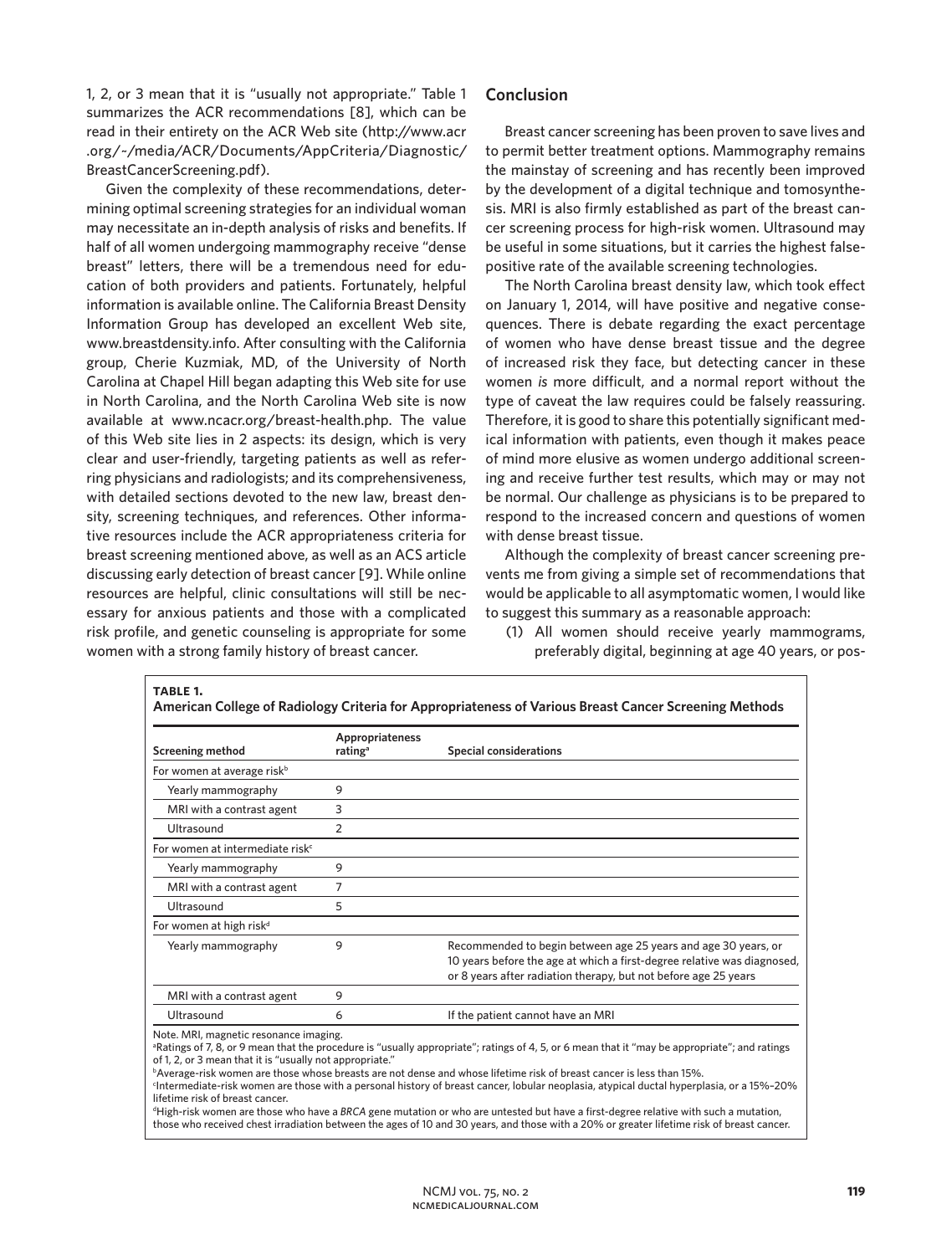1, 2, or 3 mean that it is "usually not appropriate." Table 1 summarizes the ACR recommendations [8], which can be read in their entirety on the ACR Web site (http://www.acr .org/~/media/ACR/Documents/AppCriteria/Diagnostic/ BreastCancerScreening.pdf).

Given the complexity of these recommendations, determining optimal screening strategies for an individual woman may necessitate an in-depth analysis of risks and benefits. If half of all women undergoing mammography receive "dense breast" letters, there will be a tremendous need for education of both providers and patients. Fortunately, helpful information is available online. The California Breast Density Information Group has developed an excellent Web site, www.breastdensity.info. After consulting with the California group, Cherie Kuzmiak, MD, of the University of North Carolina at Chapel Hill began adapting this Web site for use in North Carolina, and the North Carolina Web site is now available at www.ncacr.org/breast-health.php. The value of this Web site lies in 2 aspects: its design, which is very clear and user-friendly, targeting patients as well as referring physicians and radiologists; and its comprehensiveness, with detailed sections devoted to the new law, breast density, screening techniques, and references. Other informative resources include the ACR appropriateness criteria for breast screening mentioned above, as well as an ACS article discussing early detection of breast cancer [9]. While online resources are helpful, clinic consultations will still be necessary for anxious patients and those with a complicated risk profile, and genetic counseling is appropriate for some women with a strong family history of breast cancer.

## **Conclusion**

Breast cancer screening has been proven to save lives and to permit better treatment options. Mammography remains the mainstay of screening and has recently been improved by the development of a digital technique and tomosynthesis. MRI is also firmly established as part of the breast cancer screening process for high-risk women. Ultrasound may be useful in some situations, but it carries the highest falsepositive rate of the available screening technologies.

The North Carolina breast density law, which took effect on January 1, 2014, will have positive and negative consequences. There is debate regarding the exact percentage of women who have dense breast tissue and the degree of increased risk they face, but detecting cancer in these women *is* more difficult, and a normal report without the type of caveat the law requires could be falsely reassuring. Therefore, it is good to share this potentially significant medical information with patients, even though it makes peace of mind more elusive as women undergo additional screening and receive further test results, which may or may not be normal. Our challenge as physicians is to be prepared to respond to the increased concern and questions of women with dense breast tissue.

Although the complexity of breast cancer screening prevents me from giving a simple set of recommendations that would be applicable to all asymptomatic women, I would like to suggest this summary as a reasonable approach:

(1) All women should receive yearly mammograms, preferably digital, beginning at age 40 years, or pos-

| <b>Screening method</b>                     | Appropriateness<br>rating <sup>a</sup> | <b>Special considerations</b>                                                                                                                                                                                |
|---------------------------------------------|----------------------------------------|--------------------------------------------------------------------------------------------------------------------------------------------------------------------------------------------------------------|
| For women at average risk <sup>b</sup>      |                                        |                                                                                                                                                                                                              |
| Yearly mammography                          | 9                                      |                                                                                                                                                                                                              |
| MRI with a contrast agent                   | 3                                      |                                                                                                                                                                                                              |
| Ultrasound                                  | $\overline{2}$                         |                                                                                                                                                                                                              |
| For women at intermediate risk <sup>c</sup> |                                        |                                                                                                                                                                                                              |
| Yearly mammography                          | 9                                      |                                                                                                                                                                                                              |
| MRI with a contrast agent                   | 7                                      |                                                                                                                                                                                                              |
| Ultrasound                                  | 5                                      |                                                                                                                                                                                                              |
| For women at high risk <sup>d</sup>         |                                        |                                                                                                                                                                                                              |
| Yearly mammography                          | 9                                      | Recommended to begin between age 25 years and age 30 years, or<br>10 years before the age at which a first-degree relative was diagnosed,<br>or 8 years after radiation therapy, but not before age 25 years |
| MRI with a contrast agent                   | 9                                      |                                                                                                                                                                                                              |
| Ultrasound                                  | 6                                      | If the patient cannot have an MRI                                                                                                                                                                            |

Intermediate-risk women are those with a personal history of breast cancer, lobular neoplasia, atypical ductal hyperplasia, or a 15%–20% lifetime risk of breast cancer.

d High-risk women are those who have a *BRCA* gene mutation or who are untested but have a first-degree relative with such a mutation, those who received chest irradiation between the ages of 10 and 30 years, and those with a 20% or greater lifetime risk of breast cancer.